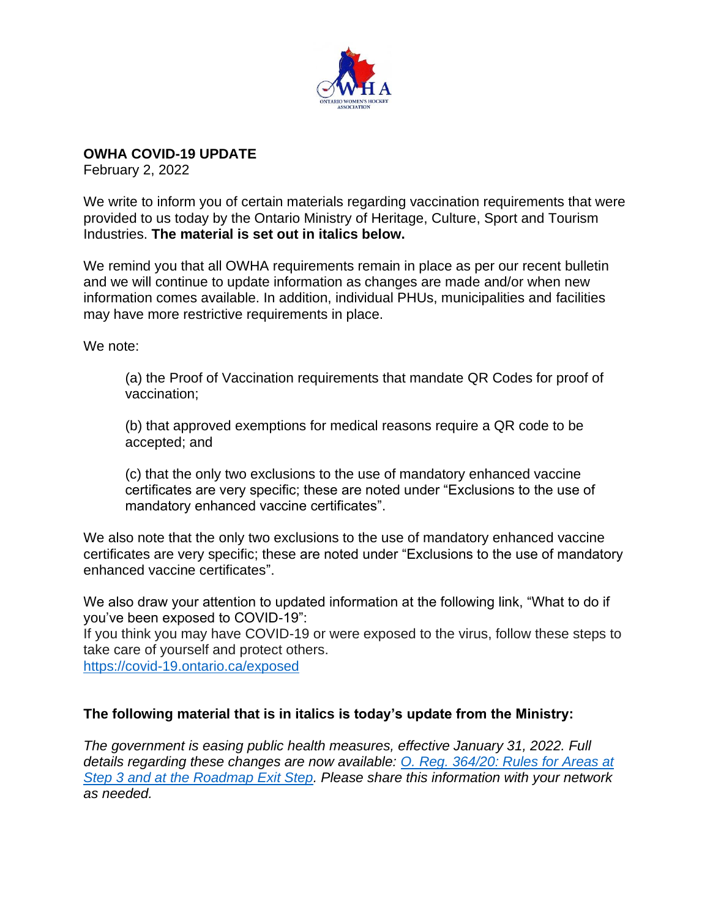

**OWHA COVID-19 UPDATE**

February 2, 2022

We write to inform you of certain materials regarding vaccination requirements that were provided to us today by the Ontario Ministry of Heritage, Culture, Sport and Tourism Industries. **The material is set out in italics below.**

We remind you that all OWHA requirements remain in place as per our recent bulletin and we will continue to update information as changes are made and/or when new information comes available. In addition, individual PHUs, municipalities and facilities may have more restrictive requirements in place.

We note:

(a) the Proof of Vaccination requirements that mandate QR Codes for proof of vaccination;

(b) that approved exemptions for medical reasons require a QR code to be accepted; and

(c) that the only two exclusions to the use of mandatory enhanced vaccine certificates are very specific; these are noted under "Exclusions to the use of mandatory enhanced vaccine certificates".

We also note that the only two exclusions to the use of mandatory enhanced vaccine certificates are very specific; these are noted under "Exclusions to the use of mandatory enhanced vaccine certificates".

We also draw your attention to updated information at the following link, "What to do if you've been exposed to COVID-19":

If you think you may have COVID-19 or were exposed to the virus, follow these steps to take care of yourself and protect others.

<https://covid-19.ontario.ca/exposed>

# **The following material that is in italics is today's update from the Ministry:**

*The government is easing public health measures, effective January 31, 2022. Full details regarding these changes are now available: [O. Reg. 364/20: Rules for Areas at](https://www.ontario.ca/laws/regulation/200364)  [Step 3 and at the Roadmap Exit Step.](https://www.ontario.ca/laws/regulation/200364) Please share this information with your network as needed.*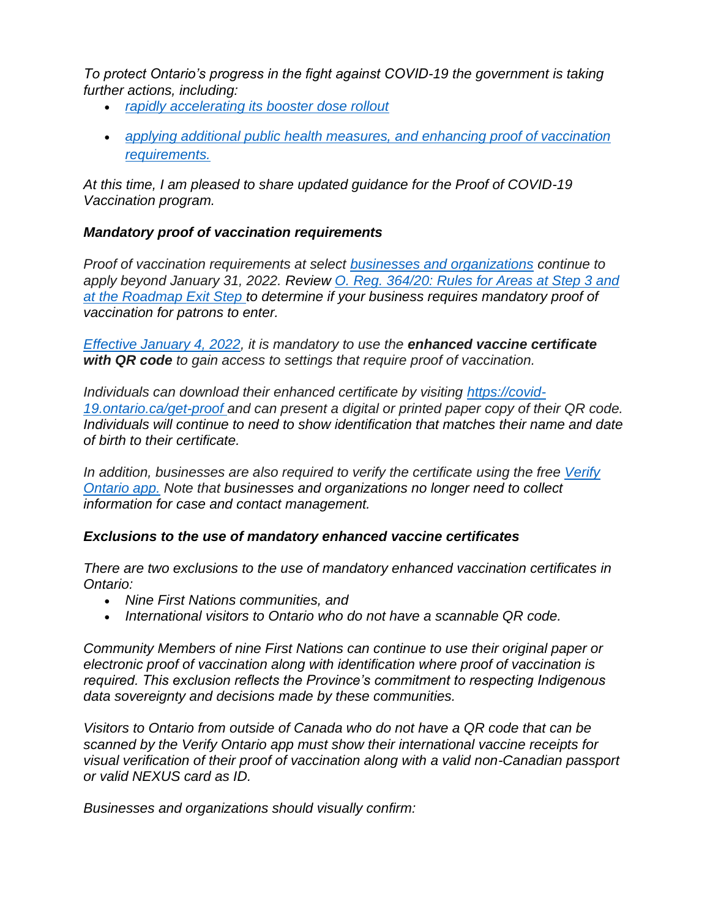*To protect Ontario's progress in the fight against COVID-19 the government is taking further actions, including:* 

- *[rapidly accelerating its booster dose rollout](https://news.ontario.ca/en/release/1001352/all-ontarians-18-eligible-for-covid-19-booster-appointments-at-three-month-interval)*
- *[applying additional public health measures, and enhancing proof of vaccination](https://news.ontario.ca/en/release/1001366/ontario-further-strengthening-response-to-omicron)  [requirements.](https://news.ontario.ca/en/release/1001366/ontario-further-strengthening-response-to-omicron)*

*At this time, I am pleased to share updated guidance for the Proof of COVID-19 Vaccination program.* 

# *Mandatory proof of vaccination requirements*

*Proof of vaccination requirements at select [businesses and organizations](https://covid-19.ontario.ca/proof-covid-19-vaccination) continue to apply beyond January 31, 2022. Review [O. Reg. 364/20: Rules for Areas at Step 3 and](https://www.ontario.ca/laws/regulation/200364)  [at the Roadmap Exit Step](https://www.ontario.ca/laws/regulation/200364) to determine if your business requires mandatory proof of vaccination for patrons to enter.*

*[Effective January 4, 2022,](https://news.ontario.ca/en/release/1001327/ontario-taking-action-to-protect-against-omicron-variant) it is mandatory to use the enhanced vaccine certificate with QR code to gain access to settings that require proof of vaccination.*

*Individuals can download their enhanced certificate by visiting [https://covid-](https://covid-19.ontario.ca/get-proof/)[19.ontario.ca/get-proof](https://covid-19.ontario.ca/get-proof/) and can present a digital or printed paper copy of their QR code. Individuals will continue to need to show identification that matches their name and date of birth to their certificate.*

*In addition, businesses are also required to verify the certificate using the free [Verify](https://covid-19.ontario.ca/verify)  [Ontario app.](https://covid-19.ontario.ca/verify) Note that businesses and organizations no longer need to collect information for case and contact management.*

# *Exclusions to the use of mandatory enhanced vaccine certificates*

*There are two exclusions to the use of mandatory enhanced vaccination certificates in Ontario:* 

- *Nine First Nations communities, and*
- *International visitors to Ontario who do not have a scannable QR code.*

*Community Members of nine First Nations can continue to use their original paper or electronic proof of vaccination along with identification where proof of vaccination is required. This exclusion reflects the Province's commitment to respecting Indigenous data sovereignty and decisions made by these communities.* 

*Visitors to Ontario from outside of Canada who do not have a QR code that can be scanned by the Verify Ontario app must show their international vaccine receipts for visual verification of their proof of vaccination along with a valid non-Canadian passport or valid NEXUS card as ID.* 

*Businesses and organizations should visually confirm:*